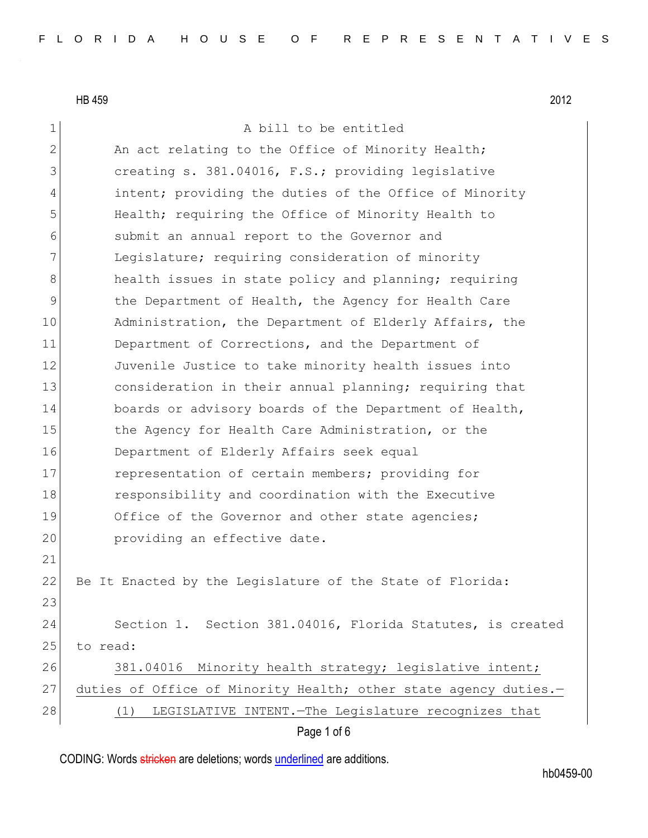HB 459 2012

| 1            | A bill to be entitled                                            |
|--------------|------------------------------------------------------------------|
| $\mathbf{2}$ | An act relating to the Office of Minority Health;                |
| 3            | creating s. 381.04016, F.S.; providing legislative               |
| 4            | intent; providing the duties of the Office of Minority           |
| 5            | Health; requiring the Office of Minority Health to               |
| 6            | submit an annual report to the Governor and                      |
| 7            | Legislature; requiring consideration of minority                 |
| 8            | health issues in state policy and planning; requiring            |
| $\mathsf 9$  | the Department of Health, the Agency for Health Care             |
| 10           | Administration, the Department of Elderly Affairs, the           |
| 11           | Department of Corrections, and the Department of                 |
| 12           | Juvenile Justice to take minority health issues into             |
| 13           | consideration in their annual planning; requiring that           |
| 14           | boards or advisory boards of the Department of Health,           |
| 15           | the Agency for Health Care Administration, or the                |
| 16           | Department of Elderly Affairs seek equal                         |
| 17           | representation of certain members; providing for                 |
| 18           | responsibility and coordination with the Executive               |
| 19           | Office of the Governor and other state agencies;                 |
| 20           | providing an effective date.                                     |
| 21           |                                                                  |
| 22           | Be It Enacted by the Legislature of the State of Florida:        |
| 23           |                                                                  |
| 24           | Section 1. Section 381.04016, Florida Statutes, is created       |
| 25           | to read:                                                         |
| 26           | 381.04016 Minority health strategy; legislative intent;          |
| 27           | duties of Office of Minority Health; other state agency duties.- |
| 28           | LEGISLATIVE INTENT. - The Legislature recognizes that<br>(1)     |
|              | Page 1 of 6                                                      |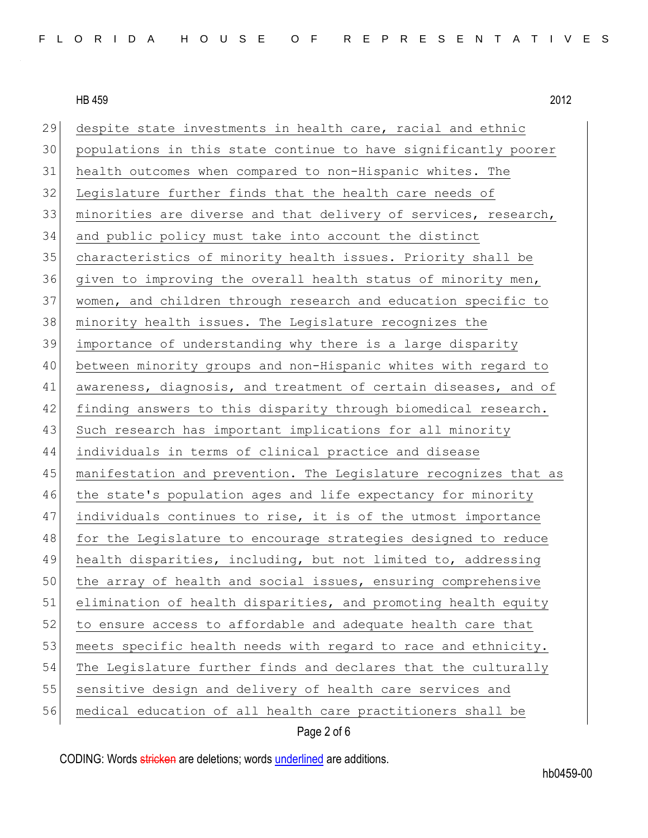HB 459 2012

29 despite state investments in health care, racial and ethnic populations in this state continue to have significantly poorer health outcomes when compared to non-Hispanic whites. The Legislature further finds that the health care needs of minorities are diverse and that delivery of services, research, and public policy must take into account the distinct characteristics of minority health issues. Priority shall be 36 given to improving the overall health status of minority men, women, and children through research and education specific to 38 minority health issues. The Legislature recognizes the importance of understanding why there is a large disparity between minority groups and non-Hispanic whites with regard to awareness, diagnosis, and treatment of certain diseases, and of finding answers to this disparity through biomedical research. 43 Such research has important implications for all minority individuals in terms of clinical practice and disease manifestation and prevention. The Legislature recognizes that as the state's population ages and life expectancy for minority individuals continues to rise, it is of the utmost importance for the Legislature to encourage strategies designed to reduce 49 health disparities, including, but not limited to, addressing 50 the array of health and social issues, ensuring comprehensive 51 elimination of health disparities, and promoting health equity 52 to ensure access to affordable and adequate health care that 53 meets specific health needs with regard to race and ethnicity. The Legislature further finds and declares that the culturally 55 sensitive design and delivery of health care services and medical education of all health care practitioners shall be

## Page 2 of 6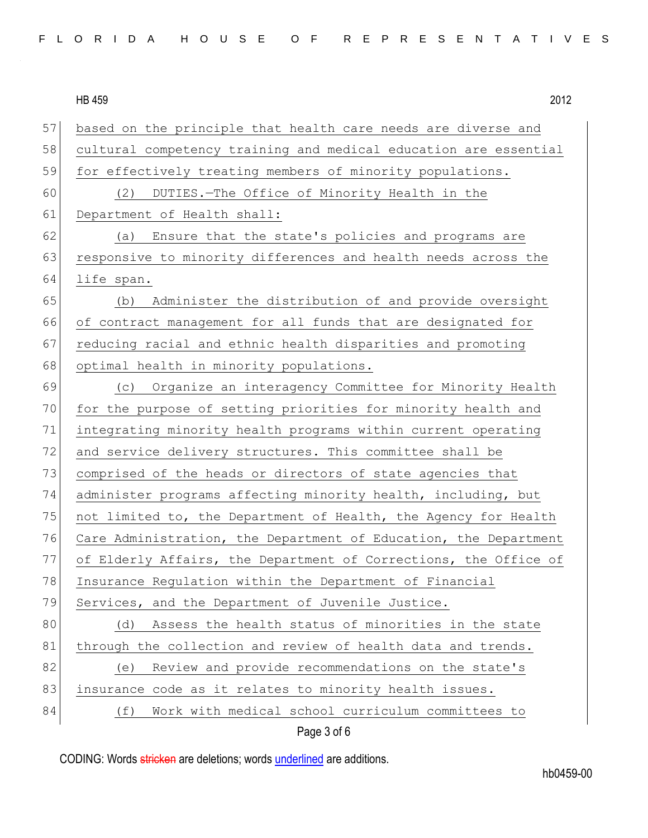HB 459 2012 57 based on the principle that health care needs are diverse and 58 cultural competency training and medical education are essential 59 for effectively treating members of minority populations. 60 (2) DUTIES.—The Office of Minority Health in the 61 Department of Health shall: 62 (a) Ensure that the state's policies and programs are 63 responsive to minority differences and health needs across the 64 life span. 65 (b) Administer the distribution of and provide oversight 66 of contract management for all funds that are designated for 67 reducing racial and ethnic health disparities and promoting 68 optimal health in minority populations. 69 (c) Organize an interagency Committee for Minority Health 70 for the purpose of setting priorities for minority health and 71 integrating minority health programs within current operating 72 and service delivery structures. This committee shall be 73 comprised of the heads or directors of state agencies that 74 administer programs affecting minority health, including, but 75 not limited to, the Department of Health, the Agency for Health 76 Care Administration, the Department of Education, the Department 77 of Elderly Affairs, the Department of Corrections, the Office of 78 Insurance Regulation within the Department of Financial 79 Services, and the Department of Juvenile Justice. 80 (d) Assess the health status of minorities in the state 81 through the collection and review of health data and trends. 82 (e) Review and provide recommendations on the state's 83 insurance code as it relates to minority health issues. 84 (f) Work with medical school curriculum committees to

Page 3 of 6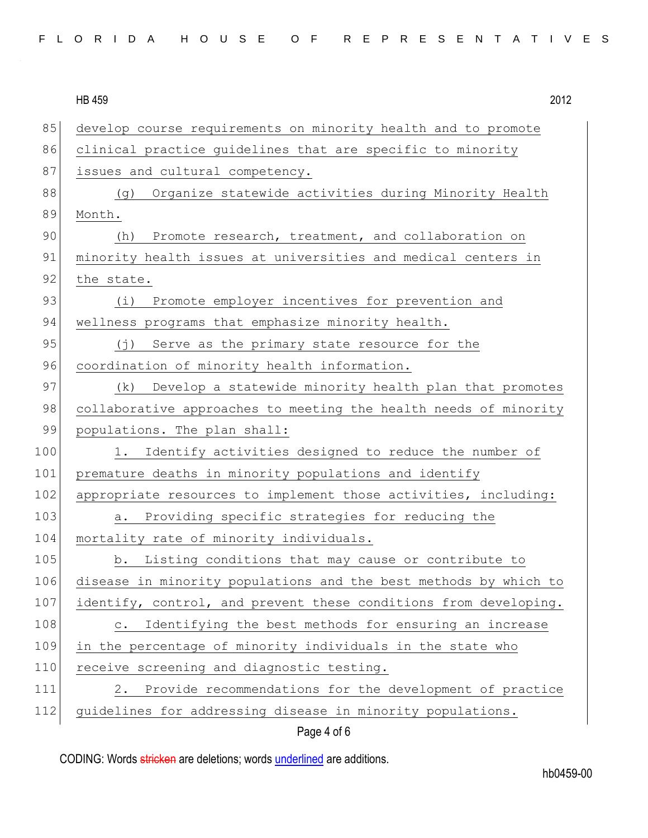$\overline{110}$   $\overline{150}$ 

|     | <b>HB 459</b><br>2012                                                   |
|-----|-------------------------------------------------------------------------|
| 85  | develop course requirements on minority health and to promote           |
| 86  | clinical practice guidelines that are specific to minority              |
| 87  | issues and cultural competency.                                         |
| 88  | Organize statewide activities during Minority Health<br>(g)             |
| 89  | Month.                                                                  |
| 90  | Promote research, treatment, and collaboration on<br>(h)                |
| 91  | minority health issues at universities and medical centers in           |
| 92  | the state.                                                              |
| 93  | Promote employer incentives for prevention and<br>(i)                   |
| 94  | wellness programs that emphasize minority health.                       |
| 95  | Serve as the primary state resource for the<br>$(\dagger)$              |
| 96  | coordination of minority health information.                            |
| 97  | (k)<br>Develop a statewide minority health plan that promotes           |
| 98  | collaborative approaches to meeting the health needs of minority        |
| 99  | populations. The plan shall:                                            |
| 100 | Identify activities designed to reduce the number of<br>1.              |
| 101 | premature deaths in minority populations and identify                   |
| 102 | appropriate resources to implement those activities, including:         |
| 103 | Providing specific strategies for reducing the<br>a.                    |
| 104 | mortality rate of minority individuals.                                 |
| 105 | Listing conditions that may cause or contribute to<br>b.                |
| 106 | disease in minority populations and the best methods by which to        |
| 107 | identify, control, and prevent these conditions from developing.        |
| 108 | Identifying the best methods for ensuring an increase<br>$\mathtt{C}$ . |
| 109 | in the percentage of minority individuals in the state who              |
| 110 | receive screening and diagnostic testing.                               |
| 111 | Provide recommendations for the development of practice<br>2.           |
| 112 | guidelines for addressing disease in minority populations.              |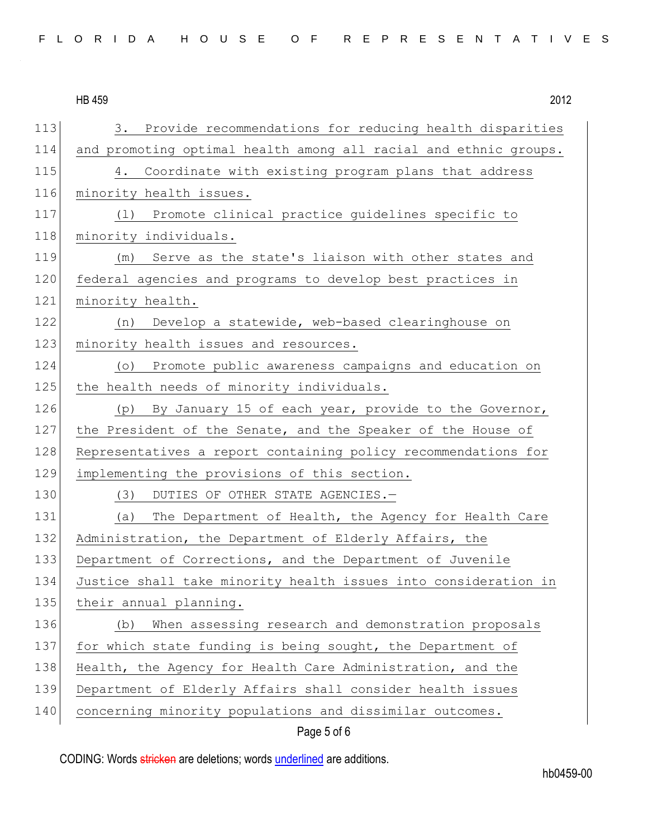|     | <b>HB 459</b><br>2012                                              |
|-----|--------------------------------------------------------------------|
| 113 | Provide recommendations for reducing health disparities<br>3.      |
| 114 | and promoting optimal health among all racial and ethnic groups.   |
| 115 | Coordinate with existing program plans that address<br>4.          |
| 116 | minority health issues.                                            |
| 117 | (1) Promote clinical practice guidelines specific to               |
| 118 | minority individuals.                                              |
| 119 | Serve as the state's liaison with other states and<br>(m)          |
| 120 | federal agencies and programs to develop best practices in         |
| 121 | minority health.                                                   |
| 122 | Develop a statewide, web-based clearinghouse on<br>(n)             |
| 123 | minority health issues and resources.                              |
| 124 | Promote public awareness campaigns and education on<br>$( \circ )$ |
| 125 | the health needs of minority individuals.                          |
| 126 | (p) By January 15 of each year, provide to the Governor,           |
| 127 | the President of the Senate, and the Speaker of the House of       |
| 128 | Representatives a report containing policy recommendations for     |
| 129 | implementing the provisions of this section.                       |
| 130 | DUTIES OF OTHER STATE AGENCIES.-<br>(3)                            |
| 131 | The Department of Health, the Agency for Health Care<br>(a)        |
| 132 | Administration, the Department of Elderly Affairs, the             |
| 133 | Department of Corrections, and the Department of Juvenile          |
| 134 | Justice shall take minority health issues into consideration in    |
| 135 | their annual planning.                                             |
| 136 | When assessing research and demonstration proposals<br>(b)         |
| 137 | for which state funding is being sought, the Department of         |
| 138 | Health, the Agency for Health Care Administration, and the         |
| 139 | Department of Elderly Affairs shall consider health issues         |
| 140 | concerning minority populations and dissimilar outcomes.           |

## Page 5 of 6